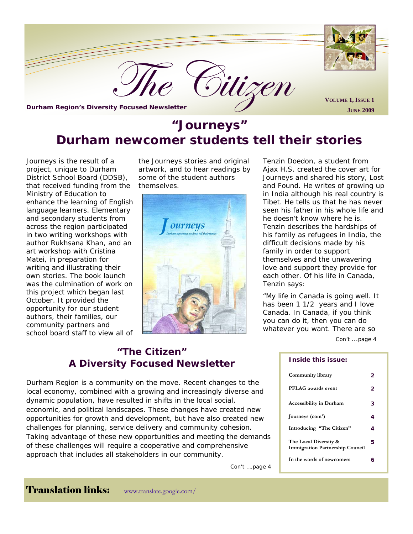

# **"Journeys" Durham newcomer students tell their stories**

*Journeys* is the result of a project, unique to Durham District School Board (DDSB), that received funding from the Ministry of Education to enhance the learning of English language learners. Elementary and secondary students from across the region participated in two writing workshops with author Rukhsana Khan, and an art workshop with Cristina Matei, in preparation for writing and illustrating their own stories. The book launch was the culmination of work on this project which began last October. It provided the opportunity for our student authors, their families, our community partners and school board staff to view all of

the *Journeys* stories and original artwork, and to hear readings by some of the student authors themselves.



Tenzin Doedon, a student from Ajax H.S. created the cover art for Journeys and shared his story, *Lost and Found.* He writes of growing up in India although his real country is Tibet. He tells us that he has never seen his father in his whole life and he doesn't know where he is. Tenzin describes the hardships of his family as refugees in India, the difficult decisions made by his family in order to support themselves and the unwavering love and support they provide for each other. Of his life in Canada, Tenzin says:

"My life in Canada is going well. It has been 1 1/2 years and I love Canada. In Canada, if you think you can do it, then you can do whatever you want. There are so Con't ….page 4

#### **Inside this issue:**

| Community library                                               | 2 |
|-----------------------------------------------------------------|---|
| PFLAG awards event                                              | 2 |
| <b>Accessibility in Durham</b>                                  | З |
| Journeys (cont')                                                | 4 |
| Introducing "The Citizen"                                       | 4 |
| The Local Diversity &<br><b>Immigration Partnership Council</b> | 5 |
| In the words of newcomers                                       | ѧ |

# **"The Citizen" A Diversity Focused Newsletter**

Durham Region is a community on the move. Recent changes to the local economy, combined with a growing and increasingly diverse and dynamic population, have resulted in shifts in the local social, economic, and political landscapes. These changes have created new opportunities for growth and development, but have also created new challenges for planning, service delivery and community cohesion. Taking advantage of these new opportunities and meeting the demands of these challenges will require a cooperative and comprehensive approach that includes all stakeholders in our community.

Con't ….page 4

Translation links: www.translate.google.com/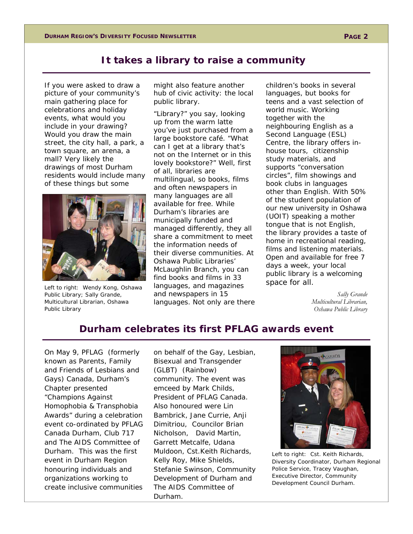# **It takes a library to raise a community**

If you were asked to draw a picture of your community's main gathering place for celebrations and holiday events, what would you include in your drawing? Would you draw the main street, the city hall, a park, a town square, an arena, a mall? Very likely the drawings of most Durham residents would include many of these things but some



Left to right: Wendy Kong, Oshawa Public Library; Sally Grande, Multicultural Librarian, Oshawa Public Library

might also feature another hub of civic activity: the local public library.

"Library?" you say, looking up from the warm latte you've just purchased from a large bookstore café. "What can I get at a library that's not on the Internet or in this lovely bookstore?" Well, first of all, libraries are multilingual, so books, films and often newspapers in many languages are all available for free. While Durham's libraries are municipally funded and managed differently, they all share a commitment to meet the information needs of their diverse communities. At Oshawa Public Libraries' McLaughlin Branch, you can find books and films in 33 languages, and magazines and newspapers in 15 languages. Not only are there children's books in several languages, but books for teens and a vast selection of world music. Working together with the neighbouring English as a Second Language (ESL) Centre, the library offers inhouse tours, citizenship study materials, and supports "conversation circles", film showings and book clubs in languages other than English. With 50% of the student population of our new university in Oshawa (UOIT) speaking a mother tongue that is not English, the library provides a taste of home in recreational reading, films and listening materials. Open and available for free 7 days a week, your local public library is a welcoming space for all.

> *Sally Grande Multicultural Librarian, Oshawa Public Library*

# **Durham celebrates its first PFLAG awards event**

On May 9, PFLAG (formerly known as Parents, Family and Friends of Lesbians and Gays) Canada, Durham's Chapter presented "Champions Against Homophobia & Transphobia Awards" during a celebration event co-ordinated by PFLAG Canada Durham, Club 717 and The AIDS Committee of Durham. This was the first event in Durham Region honouring individuals and organizations working to create inclusive communities

on behalf of the Gay, Lesbian, Bisexual and Transgender (GLBT) (Rainbow) community. The event was emceed by Mark Childs, President of PFLAG Canada. Also honoured were Lin Bambrick, Jane Currie, Anji Dimitriou, Councilor Brian Nicholson, David Martin, Garrett Metcalfe, Udana Muldoon, Cst.Keith Richards, Kelly Roy, Mike Shields, Stefanie Swinson, Community Development of Durham and The AIDS Committee of Durham.



Left to right: Cst. Keith Richards, Diversity Coordinator, Durham Regional Police Service, Tracey Vaughan, Executive Director, Community Development Council Durham.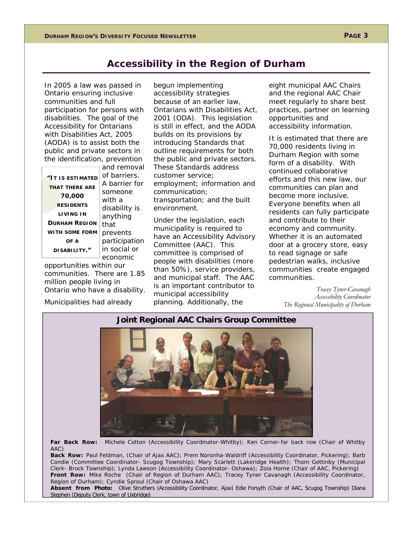### **Accessibility in the Region of Durham**

In 2005 a law was passed in Ontario ensuring inclusive communities and full participation for persons with disabilities. The goal of the *Accessibility for Ontarians with Disabilities Act*, *2005* (AODA) is to assist both the public and private sectors in the identification, prevention

|                       | and removal   |
|-----------------------|---------------|
| "IT IS ESTIMATED      | of barriers.  |
| <b>THAT THERE ARE</b> | A barrier for |
|                       | someone       |
| 70,000                | with a        |
| <b>RESIDENTS</b>      | disability is |
| <b>LIVING IN</b>      | anything      |
| <b>DURHAM REGION</b>  | that          |
| <b>WITH SOME FORM</b> | prevents      |
| OF A                  | participation |
| DISABILITY."          | in social or  |
|                       | economic      |

opportunities within our communities. There are 1.85 million people living in Ontario who have a disability.

Municipalities had already

begun implementing accessibility strategies because of an earlier law, *Ontarians with Disabilities Act, 2001* (ODA). This legislation is still in effect, and the AODA builds on its provisions by introducing Standards that outline requirements for both the public and private sectors. These Standards address customer service; employment; information and communication; transportation; and the built environment.

Under the legislation, each municipality is required to have an Accessibility Advisory Committee (AAC). This committee is comprised of people with disabilities (more than 50%), service providers, and municipal staff. The AAC is an important contributor to municipal accessibility planning. Additionally, the

eight municipal AAC Chairs and the regional AAC Chair meet regularly to share best practices, partner on learning opportunities and accessibility information.

It is estimated that there are 70,000 residents living in Durham Region with some form of a disability. With continued collaborative efforts and this new law, our communities can plan and become more inclusive. Everyone benefits when all residents can fully participate and contribute to their economy and community. Whether it is an automated door at a grocery store, easy to read signage or safe pedestrian walks, inclusive communities create engaged communities.

> *Tracey Tyner-Cavanagh Accessibility Coordinator The Regional Municipality of Durham*

### **Joint Regional AAC Chairs Group Committee**



**Far Back Row:** Michele Cotton (Accessibility Coordinator-Whitby); Ken Corner-far back row (Chair of Whitby AAC)

**Back Row:** Paul Feldman, (Chair of Ajax AAC); Prem Noronha-Waldriff (Accessibility Coordinator, Pickering); Barb Condie (Committee Coordinator- Scugog Township); Mary Scarlett (Lakeridge Health); Thom Gettinby (Municipal Clerk- Brock Township); Lynda Lawson (Accessibility Coordinator- Oshawa); Zoia Horne (Chair of AAC, Pickering) **Front Row:** Mike Roche (Chair of Region of Durham AAC); Tracey Tyner Cavanagh (Accessibility Coordinator, Region of Durham); Cyndie Sproul (Chair of Oshawa AAC)

**Absent from Photo:** Olive Struthers (Accessibility Coordinator, Ajax) Edie Forsyth (Chair of AAC, Scugog Township) Diana Stephen (Deputy Clerk, town of Uxbridge)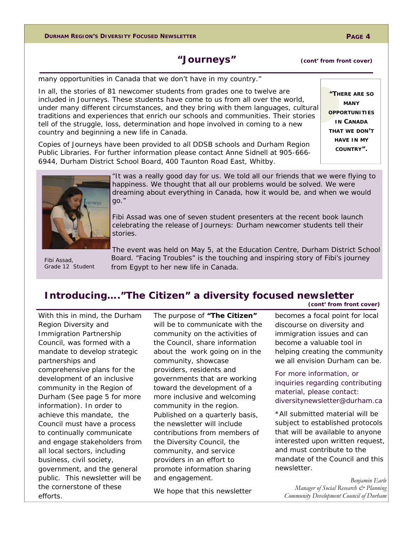### **"Journeys" (cont' from front cover)**

many opportunities in Canada that we don't have in my country."

In all, the stories of 81 newcomer students from grades one to twelve are included in *Journeys*. These students have come to us from all over the world, under many different circumstances, and they bring with them languages, cultural traditions and experiences that enrich our schools and communities. Their stories tell of the struggle, loss, determination and hope involved in coming to a new country and beginning a new life in Canada.

Copies of *Journeys* have been provided to all DDSB schools and Durham Region Public Libraries. For further information please contact Anne Sidnell at 905-666- 6944, Durham District School Board, 400 Taunton Road East, Whitby.



"It was a really good day for us. We told all our friends that we were flying to happiness. We thought that all our problems would be solved. We were dreaming about everything in Canada, how it would be, and when we would go."

Fibi Assad was one of seven student presenters at the recent book launch celebrating the release of *Journeys: Durham newcomer students tell their stories*.

Grade 12 Student

The event was held on May 5, at the Education Centre, Durham District School Board. "Facing Troubles" is the touching and inspiring story of Fibi's journey Fibi Assad, **Egypt to heat in Equipment** Grade 12 Student from Egypt to her new life in Canada.

#### **Introducing…."The Citizen" a diversity focused newsletter (cont' from front cover)**

With this in mind, the Durham Region *Diversity and Immigration Partnership Council,* was formed with a mandate to develop strategic partnerships and comprehensive plans for the development of an inclusive community in the Region of Durham (See page 5 for more information). In order to achieve this mandate, the Council must have a process to continually communicate and engage stakeholders from all local sectors, including business, civil society, government, and the general public. This newsletter will be the cornerstone of these efforts.

The purpose of **"The Citizen"**  will be to communicate with the community on the activities of the Council, share information about the work going on in the community, showcase providers, residents and governments that are working toward the development of a more inclusive and welcoming community in the region. Published on a quarterly basis, the newsletter will include contributions from members of the Diversity Council, the community, and service providers in an effort to promote information sharing and engagement.

We hope that this newsletter

becomes a focal point for local discourse on diversity and immigration issues and can become a valuable tool in helping creating the community we all envision Durham can be.

*For more information, or inquiries regarding contributing material, please contact: diversitynewsletter@durham.ca* 

\*All submitted material will be subject to established protocols that will be available to anyone interested upon written request, and must contribute to the mandate of the Council and this newsletter.

*Benjamin Earle Manager of Social Research & Planning Community Development Council of Durham* 

**"THERE ARE SO MANY OPPORTUNITIES IN CANADA THAT WE DON'T HAVE IN MY COUNTRY".**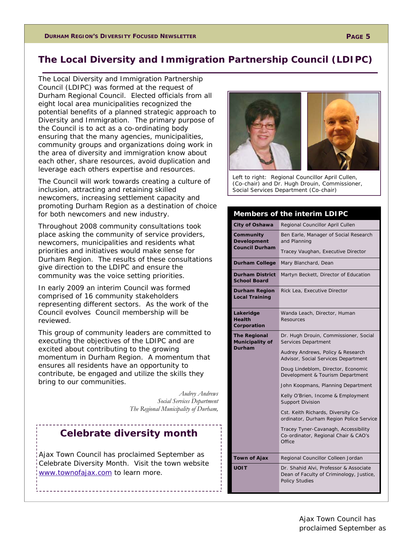# **The Local Diversity and Immigration Partnership Council (LDIPC)**

The Local Diversity and Immigration Partnership Council (LDIPC) was formed at the request of Durham Regional Council. Elected officials from all eight local area municipalities recognized the potential benefits of a planned strategic approach to Diversity and Immigration. The primary purpose of the Council is to act as a co-ordinating body ensuring that the many agencies, municipalities, community groups and organizations doing work in the area of diversity and immigration know about each other, share resources, avoid duplication and leverage each others expertise and resources.

The Council will work towards creating a culture of inclusion, attracting and retaining skilled newcomers, increasing settlement capacity and promoting Durham Region as a destination of choice for both newcomers and new industry.

Throughout 2008 community consultations took place asking the community of service providers, newcomers, municipalities and residents what priorities and initiatives would make sense for Durham Region. The results of these consultations give direction to the LDIPC and ensure the community was the voice setting priorities.

In early 2009 an interim Council was formed comprised of 16 community stakeholders representing different sectors. As the work of the Council evolves Council membership will be reviewed.

This group of community leaders are committed to executing the objectives of the LDIPC and are excited about contributing to the growing momentum in Durham Region. A momentum that ensures all residents have an opportunity to contribute, be engaged and utilize the skills they bring to our communities.

> *Audrey Andrews Social Services Department The Regional Municipality of Durham,*

# **Celebrate diversity month**

Ajax Town Council has proclaimed September as Celebrate Diversity Month. Visit the town website www.townofajax.com to learn more.



Left to right: Regional Councillor April Cullen, (Co-chair) and Dr. Hugh Drouin, Commissioner, Social Services Department (Co-chair)

| Members of the interim LDIPC                             |                                                                                                                                                                                                                                                                                                                                                                                                                                                                                                      |  |
|----------------------------------------------------------|------------------------------------------------------------------------------------------------------------------------------------------------------------------------------------------------------------------------------------------------------------------------------------------------------------------------------------------------------------------------------------------------------------------------------------------------------------------------------------------------------|--|
| <b>City of Oshawa</b>                                    | Regional Councillor April Cullen                                                                                                                                                                                                                                                                                                                                                                                                                                                                     |  |
| Community<br><b>Development</b><br><b>Council Durham</b> | Ben Earle, Manager of Social Research<br>and Planning                                                                                                                                                                                                                                                                                                                                                                                                                                                |  |
|                                                          | Tracey Vaughan, Executive Director                                                                                                                                                                                                                                                                                                                                                                                                                                                                   |  |
| <b>Durham College</b>                                    | Mary Blanchard, Dean                                                                                                                                                                                                                                                                                                                                                                                                                                                                                 |  |
| <b>Durham District</b><br><b>School Board</b>            | Martyn Beckett, Director of Education                                                                                                                                                                                                                                                                                                                                                                                                                                                                |  |
| Durham Region<br><b>Local Training</b>                   | Rick Lea, Executive Director                                                                                                                                                                                                                                                                                                                                                                                                                                                                         |  |
| Lakeridge<br><b>Health</b><br>Corporation                | Wanda Leach, Director, Human<br><b>Resources</b>                                                                                                                                                                                                                                                                                                                                                                                                                                                     |  |
| <b>The Regional</b><br>Municipality of<br>Durham         | Dr. Hugh Drouin, Commissioner, Social<br>Services Department<br>Audrey Andrews, Policy & Research<br>Advisor, Social Services Department<br>Doug Lindeblom, Director, Economic<br>Development & Tourism Department<br>John Koopmans, Planning Department<br>Kelly O'Brien, Income & Employment<br><b>Support Division</b><br>Cst. Keith Richards, Diversity Co-<br>ordinator, Durham Region Police Service<br>Tracey Tyner-Cavanagh, Accessibility<br>Co-ordinator, Regional Chair & CAO's<br>Office |  |
| <b>Town of Ajax</b>                                      | Regional Councillor Colleen Jordan                                                                                                                                                                                                                                                                                                                                                                                                                                                                   |  |
| <b>UOIT</b>                                              | Dr. Shahid Alvi, Professor & Associate<br>Dean of Faculty of Criminology, Justice,<br><b>Policy Studies</b>                                                                                                                                                                                                                                                                                                                                                                                          |  |

### Ajax Town Council has proclaimed September as